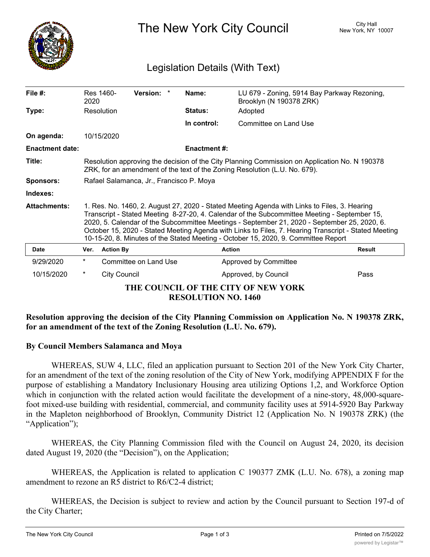

The New York City Council New York, NY 10007

# Legislation Details (With Text)

| File $#$ :             | 2020                                                                                                                                                                                                                                                                                                                                                                                                                                                                                       | Res 1460-           | Version: *            |  | Name:                      | LU 679 - Zoning, 5914 Bay Parkway Rezoning,<br>Brooklyn (N 190378 ZRK) |               |
|------------------------|--------------------------------------------------------------------------------------------------------------------------------------------------------------------------------------------------------------------------------------------------------------------------------------------------------------------------------------------------------------------------------------------------------------------------------------------------------------------------------------------|---------------------|-----------------------|--|----------------------------|------------------------------------------------------------------------|---------------|
| Type:                  | Resolution                                                                                                                                                                                                                                                                                                                                                                                                                                                                                 |                     |                       |  | <b>Status:</b>             | Adopted                                                                |               |
|                        |                                                                                                                                                                                                                                                                                                                                                                                                                                                                                            |                     |                       |  | In control:                | Committee on Land Use                                                  |               |
| On agenda:             |                                                                                                                                                                                                                                                                                                                                                                                                                                                                                            | 10/15/2020          |                       |  |                            |                                                                        |               |
| <b>Enactment date:</b> |                                                                                                                                                                                                                                                                                                                                                                                                                                                                                            |                     |                       |  | <b>Enactment #:</b>        |                                                                        |               |
| Title:                 | Resolution approving the decision of the City Planning Commission on Application No. N 190378<br>ZRK, for an amendment of the text of the Zoning Resolution (L.U. No. 679).                                                                                                                                                                                                                                                                                                                |                     |                       |  |                            |                                                                        |               |
| <b>Sponsors:</b>       | Rafael Salamanca, Jr., Francisco P. Moya                                                                                                                                                                                                                                                                                                                                                                                                                                                   |                     |                       |  |                            |                                                                        |               |
| Indexes:               |                                                                                                                                                                                                                                                                                                                                                                                                                                                                                            |                     |                       |  |                            |                                                                        |               |
| <b>Attachments:</b>    | 1. Res. No. 1460, 2. August 27, 2020 - Stated Meeting Agenda with Links to Files, 3. Hearing<br>Transcript - Stated Meeting 8-27-20, 4. Calendar of the Subcommittee Meeting - September 15,<br>2020, 5. Calendar of the Subcommittee Meetings - September 21, 2020 - September 25, 2020, 6.<br>October 15, 2020 - Stated Meeting Agenda with Links to Files, 7. Hearing Transcript - Stated Meeting<br>10-15-20, 8. Minutes of the Stated Meeting - October 15, 2020, 9. Committee Report |                     |                       |  |                            |                                                                        |               |
| Date                   | Ver.                                                                                                                                                                                                                                                                                                                                                                                                                                                                                       | <b>Action By</b>    |                       |  |                            | <b>Action</b>                                                          | <b>Result</b> |
| 9/29/2020              | $^{\star}$                                                                                                                                                                                                                                                                                                                                                                                                                                                                                 |                     | Committee on Land Use |  |                            | Approved by Committee                                                  |               |
| 10/15/2020             | *                                                                                                                                                                                                                                                                                                                                                                                                                                                                                          | <b>City Council</b> |                       |  |                            | Approved, by Council                                                   | Pass          |
|                        |                                                                                                                                                                                                                                                                                                                                                                                                                                                                                            |                     |                       |  | <b>RESOLUTION NO. 1460</b> | THE COUNCIL OF THE CITY OF NEW YORK                                    |               |

# **Resolution approving the decision of the City Planning Commission on Application No. N 190378 ZRK, for an amendment of the text of the Zoning Resolution (L.U. No. 679).**

# **By Council Members Salamanca and Moya**

WHEREAS, SUW 4, LLC, filed an application pursuant to Section 201 of the New York City Charter, for an amendment of the text of the zoning resolution of the City of New York, modifying APPENDIX F for the purpose of establishing a Mandatory Inclusionary Housing area utilizing Options 1,2, and Workforce Option which in conjunction with the related action would facilitate the development of a nine-story, 48,000-squarefoot mixed-use building with residential, commercial, and community facility uses at 5914-5920 Bay Parkway in the Mapleton neighborhood of Brooklyn, Community District 12 (Application No. N 190378 ZRK) (the "Application");

WHEREAS, the City Planning Commission filed with the Council on August 24, 2020, its decision dated August 19, 2020 (the "Decision"), on the Application;

WHEREAS, the Application is related to application C 190377 ZMK (L.U. No. 678), a zoning map amendment to rezone an R5 district to R6/C2-4 district;

WHEREAS, the Decision is subject to review and action by the Council pursuant to Section 197-d of the City Charter;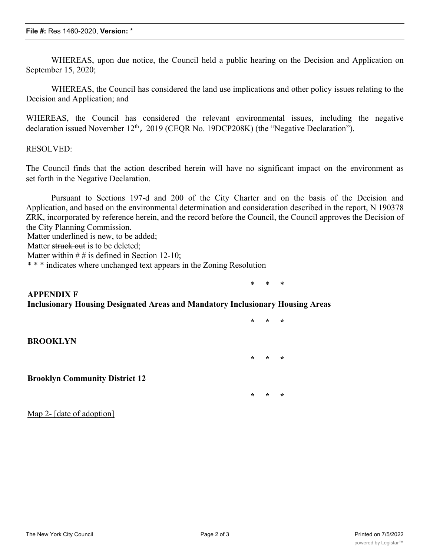WHEREAS, upon due notice, the Council held a public hearing on the Decision and Application on September 15, 2020;

WHEREAS, the Council has considered the land use implications and other policy issues relating to the Decision and Application; and

WHEREAS, the Council has considered the relevant environmental issues, including the negative declaration issued November  $12<sup>th</sup>$ , 2019 (CEQR No. 19DCP208K) (the "Negative Declaration").

#### RESOLVED:

The Council finds that the action described herein will have no significant impact on the environment as set forth in the Negative Declaration.

Pursuant to Sections 197-d and 200 of the City Charter and on the basis of the Decision and Application, and based on the environmental determination and consideration described in the report, N 190378 ZRK, incorporated by reference herein, and the record before the Council, the Council approves the Decision of the City Planning Commission.

**\* \* \***

**\* \* \***

**\* \* \***

Matter underlined is new, to be added;

Matter struck out is to be deleted:

Matter within  $# #$  is defined in Section 12-10;

\* \* \* indicates where unchanged text appears in the Zoning Resolution

### \* \* \* **APPENDIX F Inclusionary Housing Designated Areas and Mandatory Inclusionary Housing Areas**

### **BROOKLYN**

**Brooklyn Community District 12**

Map 2- [date of adoption]